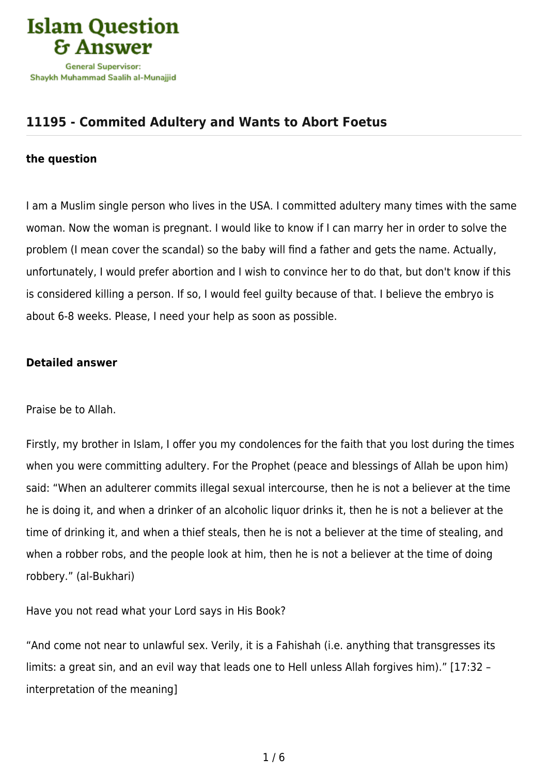

## **[11195 - Commited Adultery and Wants to Abort Foetus](https://islamqa.com/en/answers/11195/commited-adultery-and-wants-to-abort-foetus)**

## **the question**

I am a Muslim single person who lives in the USA. I committed adultery many times with the same woman. Now the woman is pregnant. I would like to know if I can marry her in order to solve the problem (I mean cover the scandal) so the baby will find a father and gets the name. Actually, unfortunately, I would prefer abortion and I wish to convince her to do that, but don't know if this is considered killing a person. If so, I would feel guilty because of that. I believe the embryo is about 6-8 weeks. Please, I need your help as soon as possible.

## **Detailed answer**

Praise be to Allah.

Firstly, my brother in Islam, I offer you my condolences for the faith that you lost during the times when you were committing adultery. For the Prophet (peace and blessings of Allah be upon him) said: "When an adulterer commits illegal sexual intercourse, then he is not a believer at the time he is doing it, and when a drinker of an alcoholic liquor drinks it, then he is not a believer at the time of drinking it, and when a thief steals, then he is not a believer at the time of stealing, and when a robber robs, and the people look at him, then he is not a believer at the time of doing robbery." (al-Bukhari)

Have you not read what your Lord says in His Book?

"And come not near to unlawful sex. Verily, it is a Fahishah (i.e. anything that transgresses its limits: a great sin, and an evil way that leads one to Hell unless Allah forgives him)." [17:32 – interpretation of the meaning]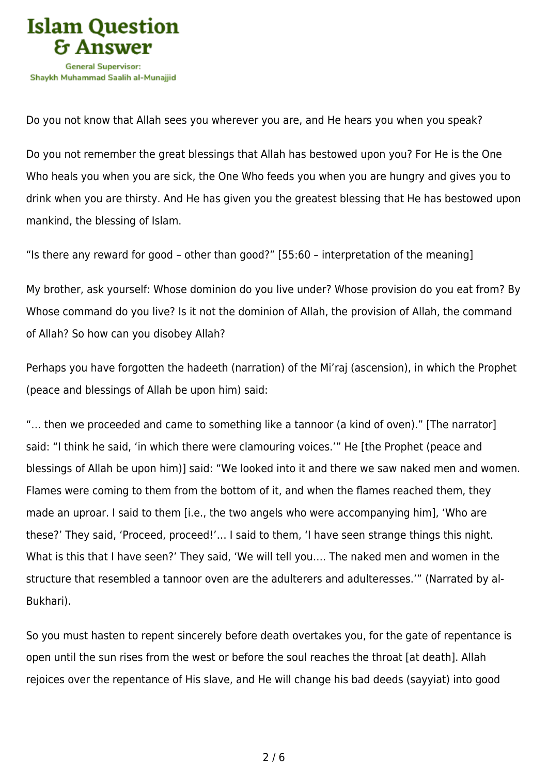

Do you not know that Allah sees you wherever you are, and He hears you when you speak?

Do you not remember the great blessings that Allah has bestowed upon you? For He is the One Who heals you when you are sick, the One Who feeds you when you are hungry and gives you to drink when you are thirsty. And He has given you the greatest blessing that He has bestowed upon mankind, the blessing of Islam.

"Is there any reward for good – other than good?" [55:60 – interpretation of the meaning]

My brother, ask yourself: Whose dominion do you live under? Whose provision do you eat from? By Whose command do you live? Is it not the dominion of Allah, the provision of Allah, the command of Allah? So how can you disobey Allah?

Perhaps you have forgotten the hadeeth (narration) of the Mi'raj (ascension), in which the Prophet (peace and blessings of Allah be upon him) said:

"… then we proceeded and came to something like a tannoor (a kind of oven)." [The narrator] said: "I think he said, 'in which there were clamouring voices.'" He [the Prophet (peace and blessings of Allah be upon him)] said: "We looked into it and there we saw naked men and women. Flames were coming to them from the bottom of it, and when the flames reached them, they made an uproar. I said to them [i.e., the two angels who were accompanying him], 'Who are these?' They said, 'Proceed, proceed!'… I said to them, 'I have seen strange things this night. What is this that I have seen?' They said, 'We will tell you…. The naked men and women in the structure that resembled a tannoor oven are the adulterers and adulteresses.'" (Narrated by al-Bukhari).

So you must hasten to repent sincerely before death overtakes you, for the gate of repentance is open until the sun rises from the west or before the soul reaches the throat [at death]. Allah rejoices over the repentance of His slave, and He will change his bad deeds (sayyiat) into good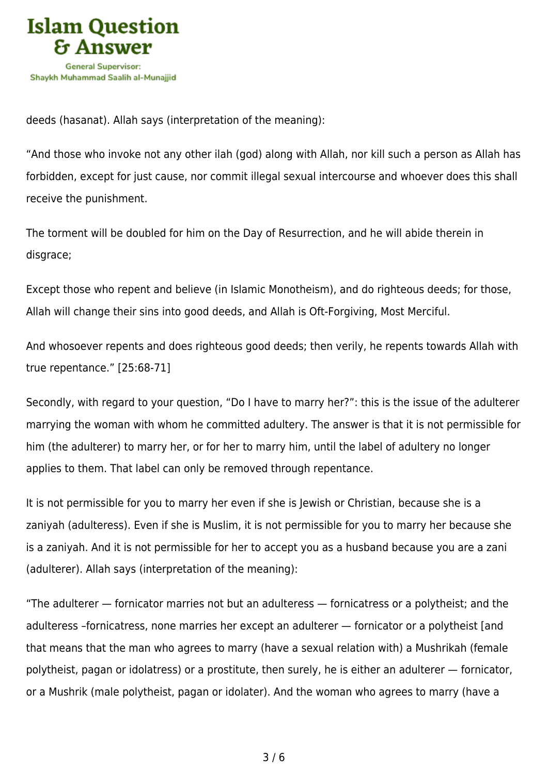

deeds (hasanat). Allah says (interpretation of the meaning):

"And those who invoke not any other ilah (god) along with Allah, nor kill such a person as Allah has forbidden, except for just cause, nor commit illegal sexual intercourse and whoever does this shall receive the punishment.

The torment will be doubled for him on the Day of Resurrection, and he will abide therein in disgrace;

Except those who repent and believe (in Islamic Monotheism), and do righteous deeds; for those, Allah will change their sins into good deeds, and Allah is Oft‑Forgiving, Most Merciful.

And whosoever repents and does righteous good deeds; then verily, he repents towards Allah with true repentance." [25:68-71]

Secondly, with regard to your question, "Do I have to marry her?": this is the issue of the adulterer marrying the woman with whom he committed adultery. The answer is that it is not permissible for him (the adulterer) to marry her, or for her to marry him, until the label of adultery no longer applies to them. That label can only be removed through repentance.

It is not permissible for you to marry her even if she is Jewish or Christian, because she is a zaniyah (adulteress). Even if she is Muslim, it is not permissible for you to marry her because she is a zaniyah. And it is not permissible for her to accept you as a husband because you are a zani (adulterer). Allah says (interpretation of the meaning):

"The adulterer — fornicator marries not but an adulteress — fornicatress or a polytheist; and the adulteress –fornicatress, none marries her except an adulterer — fornicator or a polytheist [and that means that the man who agrees to marry (have a sexual relation with) a Mushrikah (female polytheist, pagan or idolatress) or a prostitute, then surely, he is either an adulterer — fornicator, or a Mushrik (male polytheist, pagan or idolater). And the woman who agrees to marry (have a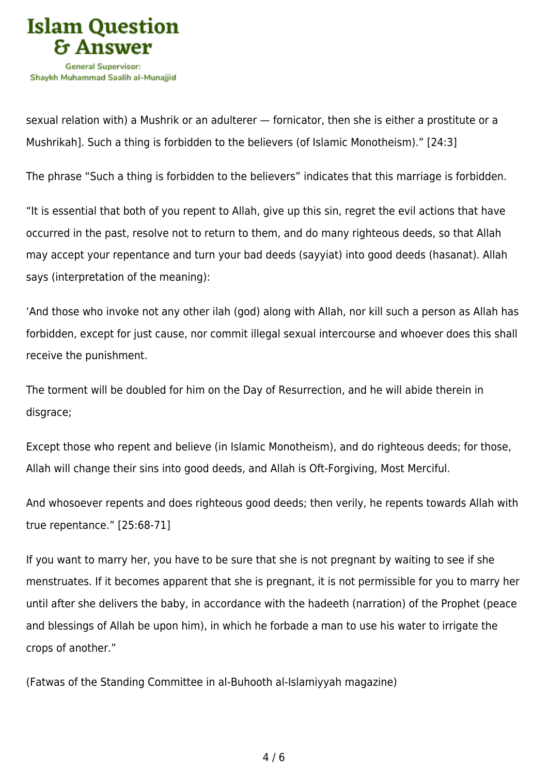

sexual relation with) a Mushrik or an adulterer — fornicator, then she is either a prostitute or a Mushrikah]. Such a thing is forbidden to the believers (of Islamic Monotheism)." [24:3]

The phrase "Such a thing is forbidden to the believers" indicates that this marriage is forbidden.

"It is essential that both of you repent to Allah, give up this sin, regret the evil actions that have occurred in the past, resolve not to return to them, and do many righteous deeds, so that Allah may accept your repentance and turn your bad deeds (sayyiat) into good deeds (hasanat). Allah says (interpretation of the meaning):

'And those who invoke not any other ilah (god) along with Allah, nor kill such a person as Allah has forbidden, except for just cause, nor commit illegal sexual intercourse and whoever does this shall receive the punishment.

The torment will be doubled for him on the Day of Resurrection, and he will abide therein in disgrace;

Except those who repent and believe (in Islamic Monotheism), and do righteous deeds; for those, Allah will change their sins into good deeds, and Allah is Oft‑Forgiving, Most Merciful.

And whosoever repents and does righteous good deeds; then verily, he repents towards Allah with true repentance." [25:68-71]

If you want to marry her, you have to be sure that she is not pregnant by waiting to see if she menstruates. If it becomes apparent that she is pregnant, it is not permissible for you to marry her until after she delivers the baby, in accordance with the hadeeth (narration) of the Prophet (peace and blessings of Allah be upon him), in which he forbade a man to use his water to irrigate the crops of another."

(Fatwas of the Standing Committee in al-Buhooth al-Islamiyyah magazine)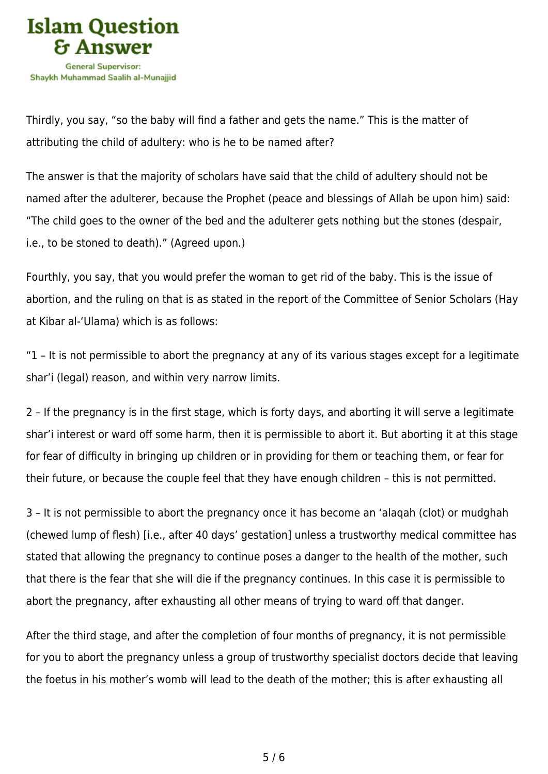

Thirdly, you say, "so the baby will find a father and gets the name." This is the matter of attributing the child of adultery: who is he to be named after?

The answer is that the majority of scholars have said that the child of adultery should not be named after the adulterer, because the Prophet (peace and blessings of Allah be upon him) said: "The child goes to the owner of the bed and the adulterer gets nothing but the stones (despair, i.e., to be stoned to death)." (Agreed upon.)

Fourthly, you say, that you would prefer the woman to get rid of the baby. This is the issue of abortion, and the ruling on that is as stated in the report of the Committee of Senior Scholars (Hay at Kibar al-'Ulama) which is as follows:

"1 – It is not permissible to abort the pregnancy at any of its various stages except for a legitimate shar'i (legal) reason, and within very narrow limits.

2 – If the pregnancy is in the first stage, which is forty days, and aborting it will serve a legitimate shar'i interest or ward off some harm, then it is permissible to abort it. But aborting it at this stage for fear of difficulty in bringing up children or in providing for them or teaching them, or fear for their future, or because the couple feel that they have enough children – this is not permitted.

3 – It is not permissible to abort the pregnancy once it has become an 'alaqah (clot) or mudghah (chewed lump of flesh) [i.e., after 40 days' gestation] unless a trustworthy medical committee has stated that allowing the pregnancy to continue poses a danger to the health of the mother, such that there is the fear that she will die if the pregnancy continues. In this case it is permissible to abort the pregnancy, after exhausting all other means of trying to ward off that danger.

After the third stage, and after the completion of four months of pregnancy, it is not permissible for you to abort the pregnancy unless a group of trustworthy specialist doctors decide that leaving the foetus in his mother's womb will lead to the death of the mother; this is after exhausting all